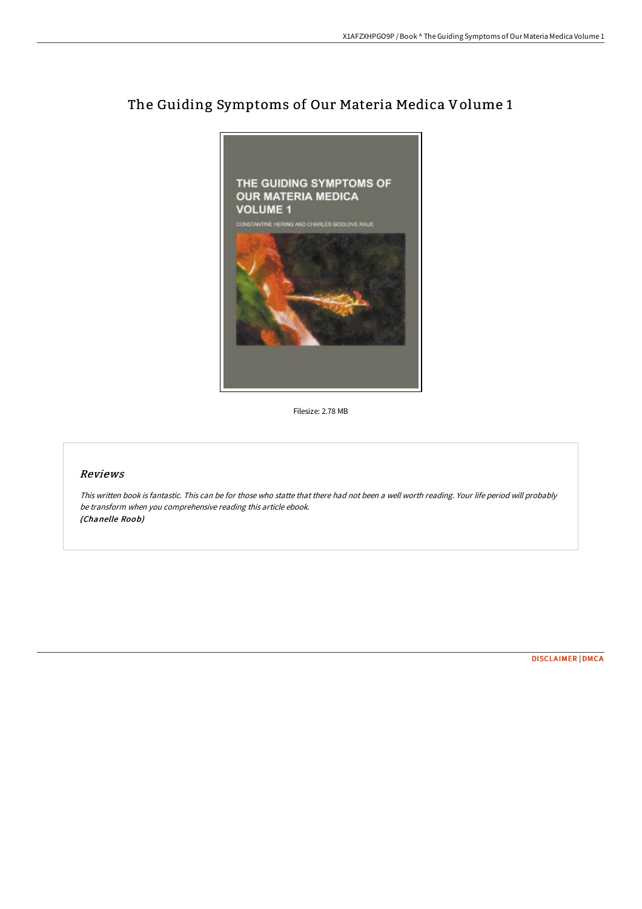

## The Guiding Symptoms of Our Materia Medica Volume 1

Filesize: 2.78 MB

## Reviews

This written book is fantastic. This can be for those who statte that there had not been <sup>a</sup> well worth reading. Your life period will probably be transform when you comprehensive reading this article ebook. (Chanelle Roob)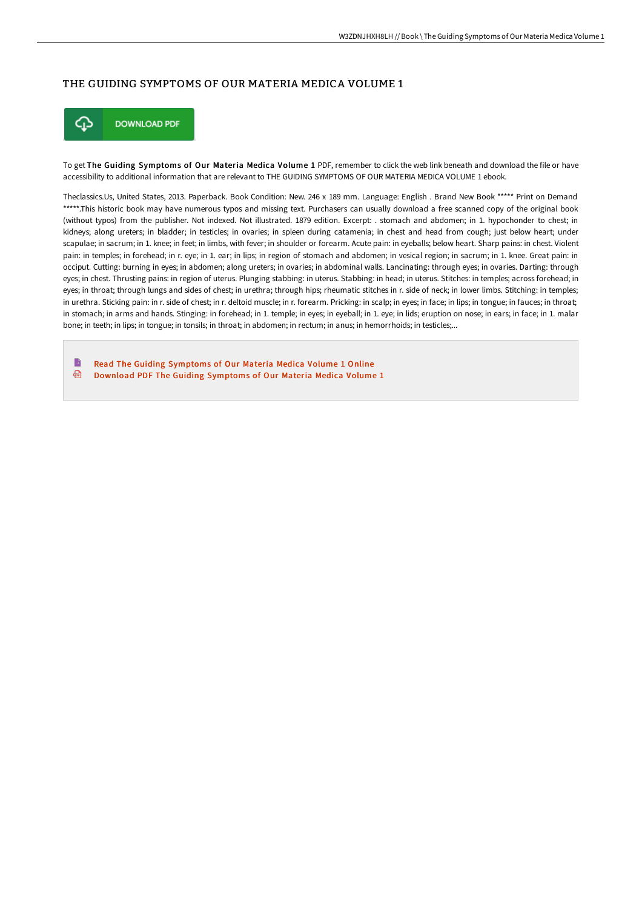## THE GUIDING SYMPTOMS OF OUR MATERIA MEDICA VOLUME 1



To get The Guiding Symptoms of Our Materia Medica Volume 1 PDF, remember to click the web link beneath and download the file or have accessibility to additional information that are relevant to THE GUIDING SYMPTOMS OF OUR MATERIA MEDICA VOLUME 1 ebook.

Theclassics.Us, United States, 2013. Paperback. Book Condition: New. 246 x 189 mm. Language: English . Brand New Book \*\*\*\*\* Print on Demand \*\*\*\*\*.This historic book may have numerous typos and missing text. Purchasers can usually download a free scanned copy of the original book (without typos) from the publisher. Not indexed. Not illustrated. 1879 edition. Excerpt: . stomach and abdomen; in 1. hypochonder to chest; in kidneys; along ureters; in bladder; in testicles; in ovaries; in spleen during catamenia; in chest and head from cough; just below heart; under scapulae; in sacrum; in 1. knee; in feet; in limbs, with fever; in shoulder or forearm. Acute pain: in eyeballs; below heart. Sharp pains: in chest. Violent pain: in temples; in forehead; in r. eye; in 1. ear; in lips; in region of stomach and abdomen; in vesical region; in sacrum; in 1. knee. Great pain: in occiput. Cutting: burning in eyes; in abdomen; along ureters; in ovaries; in abdominal walls. Lancinating: through eyes; in ovaries. Darting: through eyes; in chest. Thrusting pains: in region of uterus. Plunging stabbing: in uterus. Stabbing: in head; in uterus. Stitches: in temples; across forehead; in eyes; in throat; through lungs and sides of chest; in urethra; through hips; rheumatic stitches in r. side of neck; in lower limbs. Stitching: in temples; in urethra. Sticking pain: in r. side of chest; in r. deltoid muscle; in r. forearm. Pricking: in scalp; in eyes; in face; in lips; in tongue; in fauces; in throat; in stomach; in arms and hands. Stinging: in forehead; in 1. temple; in eyes; in eyeball; in 1. eye; in lids; eruption on nose; in ears; in face; in 1. malar bone; in teeth; in lips; in tongue; in tonsils; in throat; in abdomen; in rectum; in anus; in hemorrhoids; in testicles;...

B Read The Guiding [Symptoms](http://digilib.live/the-guiding-symptoms-of-our-materia-medica-volum.html) of Our Materia Medica Volume 1 Online ⊕ Download PDF The Guiding [Symptoms](http://digilib.live/the-guiding-symptoms-of-our-materia-medica-volum.html) of Our Materia Medica Volume 1